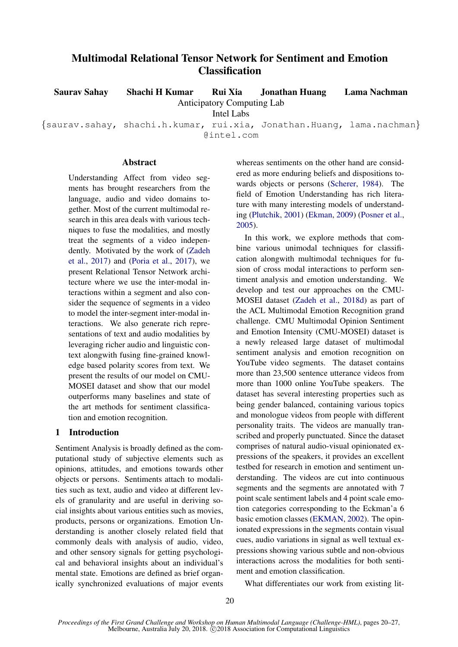# Multimodal Relational Tensor Network for Sentiment and Emotion Classification

Saurav Sahay Shachi H Kumar Rui Xia Jonathan Huang Lama Nachman

Anticipatory Computing Lab

Intel Labs

{saurav.sahay, shachi.h.kumar, rui.xia, Jonathan.Huang, lama.nachman}

@intel.com

## **Abstract**

Understanding Affect from video segments has brought researchers from the language, audio and video domains together. Most of the current multimodal research in this area deals with various techniques to fuse the modalities, and mostly treat the segments of a video independently. Motivated by the work of [\(Zadeh](#page-7-0) [et al.,](#page-7-0) [2017\)](#page-7-0) and [\(Poria et al.,](#page-7-1) [2017\)](#page-7-1), we present Relational Tensor Network architecture where we use the inter-modal interactions within a segment and also consider the sequence of segments in a video to model the inter-segment inter-modal interactions. We also generate rich representations of text and audio modalities by leveraging richer audio and linguistic context alongwith fusing fine-grained knowledge based polarity scores from text. We present the results of our model on CMU-MOSEI dataset and show that our model outperforms many baselines and state of the art methods for sentiment classification and emotion recognition.

## 1 Introduction

Sentiment Analysis is broadly defined as the computational study of subjective elements such as opinions, attitudes, and emotions towards other objects or persons. Sentiments attach to modalities such as text, audio and video at different levels of granularity and are useful in deriving social insights about various entities such as movies, products, persons or organizations. Emotion Understanding is another closely related field that commonly deals with analysis of audio, video, and other sensory signals for getting psychological and behavioral insights about an individual's mental state. Emotions are defined as brief organically synchronized evaluations of major events

whereas sentiments on the other hand are considered as more enduring beliefs and dispositions towards objects or persons [\(Scherer,](#page-7-2) [1984\)](#page-7-2). The field of Emotion Understanding has rich literature with many interesting models of understanding [\(Plutchik,](#page-7-3) [2001\)](#page-7-3) [\(Ekman,](#page-6-0) [2009\)](#page-6-0) [\(Posner et al.,](#page-7-4) [2005\)](#page-7-4).

In this work, we explore methods that combine various unimodal techniques for classification alongwith multimodal techniques for fusion of cross modal interactions to perform sentiment analysis and emotion understanding. We develop and test our approaches on the CMU-MOSEI dataset [\(Zadeh et al.,](#page-7-5) [2018d\)](#page-7-5) as part of the ACL Multimodal Emotion Recognition grand challenge. CMU Multimodal Opinion Sentiment and Emotion Intensity (CMU-MOSEI) dataset is a newly released large dataset of multimodal sentiment analysis and emotion recognition on YouTube video segments. The dataset contains more than 23,500 sentence utterance videos from more than 1000 online YouTube speakers. The dataset has several interesting properties such as being gender balanced, containing various topics and monologue videos from people with different personality traits. The videos are manually transcribed and properly punctuated. Since the dataset comprises of natural audio-visual opinionated expressions of the speakers, it provides an excellent testbed for research in emotion and sentiment understanding. The videos are cut into continuous segments and the segments are annotated with 7 point scale sentiment labels and 4 point scale emotion categories corresponding to the Eckman'a 6 basic emotion classes [\(EKMAN,](#page-6-1) [2002\)](#page-6-1). The opinionated expressions in the segments contain visual cues, audio variations in signal as well textual expressions showing various subtle and non-obvious interactions across the modalities for both sentiment and emotion classification.

What differentiates our work from existing lit-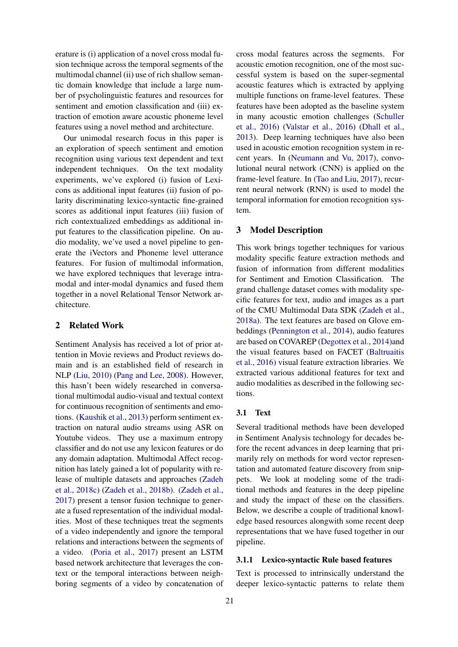erature is (i) application of a novel cross modal fusion technique across the temporal segments of the multimodal channel (ii) use of rich shallow semantic domain knowledge that include a large number of psycholinguistic features and resources for sentiment and emotion classification and (iii) extraction of emotion aware acoustic phoneme level features using a novel method and architecture.

Our unimodal research focus in this paper is an exploration of speech sentiment and emotion recognition using various text dependent and text independent techniques. On the text modality experiments, we've explored (i) fusion of Lexicons as additional input features (ii) fusion of polarity discriminating lexico-syntactic fine-grained scores as additional input features (iii) fusion of rich contextualized embeddings as additional input features to the classification pipeline. On audio modality, we've used a novel pipeline to generate the iVectors and Phoneme level utterance features. For fusion of multimodal information, we have explored techniques that leverage intramodal and inter-modal dynamics and fused them together in a novel Relational Tensor Network architecture.

## 2 Related Work

Sentiment Analysis has received a lot of prior attention in Movie reviews and Product reviews domain and is an established field of research in NLP [\(Liu,](#page-6-2) [2010\)](#page-6-2) [\(Pang and Lee,](#page-7-6) [2008\)](#page-7-6). However, this hasn't been widely researched in conversational multimodal audio-visual and textual context for continuous recognition of sentiments and emotions. [\(Kaushik et al.,](#page-6-3) [2013\)](#page-6-3) perform sentiment extraction on natural audio streams using ASR on Youtube videos. They use a maximum entropy classifier and do not use any lexicon features or do any domain adaptation. Multimodal Affect recognition has lately gained a lot of popularity with release of multiple datasets and approaches [\(Zadeh](#page-7-7) [et al.,](#page-7-7) [2018c\)](#page-7-7) [\(Zadeh et al.,](#page-7-8) [2018b\)](#page-7-8). [\(Zadeh et al.,](#page-7-0) [2017\)](#page-7-0) present a tensor fusion technique to generate a fused representation of the individual modalities. Most of these techniques treat the segments of a video independently and ignore the temporal relations and interactions between the segments of a video. [\(Poria et al.,](#page-7-1) [2017\)](#page-7-1) present an LSTM based network architecture that leverages the context or the temporal interactions between neighboring segments of a video by concatenation of

cross modal features across the segments. For acoustic emotion recognition, one of the most successful system is based on the super-segmental acoustic features which is extracted by applying multiple functions on frame-level features. These features have been adopted as the baseline system in many acoustic emotion challenges [\(Schuller](#page-7-9) [et al.,](#page-7-9) [2016\)](#page-7-9) [\(Valstar et al.,](#page-7-10) [2016\)](#page-7-10) [\(Dhall et al.,](#page-6-4) [2013\)](#page-6-4). Deep learning techniques have also been used in acoustic emotion recognition system in recent years. In [\(Neumann and Vu,](#page-7-11) [2017\)](#page-7-11), convolutional neural network (CNN) is applied on the frame-level feature. In [\(Tao and Liu,](#page-7-12) [2017\)](#page-7-12), recurrent neural network (RNN) is used to model the temporal information for emotion recognition system.

## 3 Model Description

This work brings together techniques for various modality specific feature extraction methods and fusion of information from different modalities for Sentiment and Emotion Classification. The grand challenge dataset comes with modality specific features for text, audio and images as a part of the CMU Multimodal Data SDK [\(Zadeh et al.,](#page-7-13) [2018a\)](#page-7-13). The text features are based on Glove embeddings [\(Pennington et al.,](#page-7-14) [2014\)](#page-7-14), audio features are based on COVAREP [\(Degottex et al.,](#page-6-5) [2014\)](#page-6-5)and the visual features based on FACET [\(Baltruaitis](#page-6-6) [et al.,](#page-6-6) [2016\)](#page-6-6) visual feature extraction libraries. We extracted various additional features for text and audio modalities as described in the following sections.

## 3.1 Text

Several traditional methods have been developed in Sentiment Analysis technology for decades before the recent advances in deep learning that primarily rely on methods for word vector representation and automated feature discovery from snippets. We look at modeling some of the traditional methods and features in the deep pipeline and study the impact of these on the classifiers. Below, we describe a couple of traditional knowledge based resources alongwith some recent deep representations that we have fused together in our pipeline.

#### 3.1.1 Lexico-syntactic Rule based features

Text is processed to intrinsically understand the deeper lexico-syntactic patterns to relate them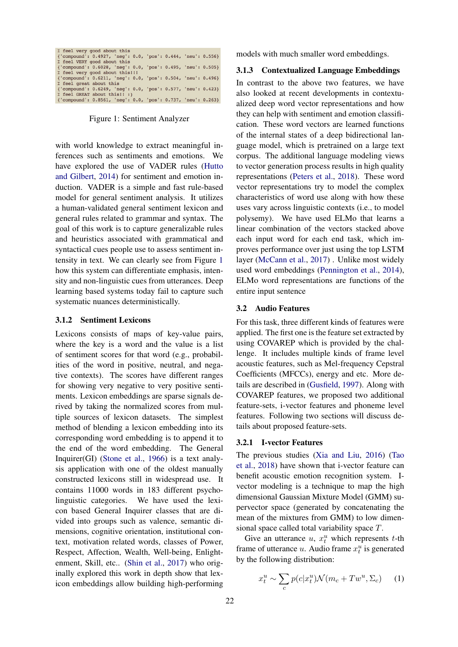| I feel very good about this                                                           |  |  |  |  |
|---------------------------------------------------------------------------------------|--|--|--|--|
| ${^\prime}$ compound': $0.4927$ , 'neq': $0.0$ , 'pos': $0.444$ , 'neu': $0.556$ }    |  |  |  |  |
| I feel VERY good about this                                                           |  |  |  |  |
| ${\rm 'compound': 0.6028, 'neg': 0.0, 'pos': 0.495, 'neu': 0.505}$                    |  |  |  |  |
| I feel very good about this!!!                                                        |  |  |  |  |
| ${\rm (11.4)}$ compound': $0.6211$ , 'neq': $0.0$ , 'pos': $0.504$ , 'neu': $0.496$ } |  |  |  |  |
| I feel great about this                                                               |  |  |  |  |
| ${\rm (11.4)}$ compound': $0.6249$ , 'neg': $0.0$ , 'pos': $0.577$ , 'neu': $0.423$ } |  |  |  |  |
| I feel GREAT about this!! :)                                                          |  |  |  |  |
| {'compound': 0.8561, 'neg': 0.0, 'pos': 0.737, 'neu': 0.263}                          |  |  |  |  |
|                                                                                       |  |  |  |  |

<span id="page-2-0"></span>Figure 1: Sentiment Analyzer

with world knowledge to extract meaningful inferences such as sentiments and emotions. We have explored the use of VADER rules [\(Hutto](#page-6-7) [and Gilbert,](#page-6-7) [2014\)](#page-6-7) for sentiment and emotion induction. VADER is a simple and fast rule-based model for general sentiment analysis. It utilizes a human-validated general sentiment lexicon and general rules related to grammar and syntax. The goal of this work is to capture generalizable rules and heuristics associated with grammatical and syntactical cues people use to assess sentiment intensity in text. We can clearly see from Figure [1](#page-2-0) how this system can differentiate emphasis, intensity and non-linguistic cues from utterances. Deep learning based systems today fail to capture such systematic nuances deterministically.

#### 3.1.2 Sentiment Lexicons

Lexicons consists of maps of key-value pairs, where the key is a word and the value is a list of sentiment scores for that word (e.g., probabilities of the word in positive, neutral, and negative contexts). The scores have different ranges for showing very negative to very positive sentiments. Lexicon embeddings are sparse signals derived by taking the normalized scores from multiple sources of lexicon datasets. The simplest method of blending a lexicon embedding into its corresponding word embedding is to append it to the end of the word embedding. The General Inquirer(GI) [\(Stone et al.,](#page-7-15) [1966\)](#page-7-15) is a text analysis application with one of the oldest manually constructed lexicons still in widespread use. It contains 11000 words in 183 different psycholinguistic categories. We have used the lexicon based General Inquirer classes that are divided into groups such as valence, semantic dimensions, cognitive orientation, institutional context, motivation related words, classes of Power, Respect, Affection, Wealth, Well-being, Enlight-enment, Skill, etc.. [\(Shin et al.,](#page-7-16) [2017\)](#page-7-16) who originally explored this work in depth show that lexicon embeddings allow building high-performing models with much smaller word embeddings.

### 3.1.3 Contextualized Language Embeddings

In contrast to the above two features, we have also looked at recent developments in contextualized deep word vector representations and how they can help with sentiment and emotion classification. These word vectors are learned functions of the internal states of a deep bidirectional language model, which is pretrained on a large text corpus. The additional language modeling views to vector generation process results in high quality representations [\(Peters et al.,](#page-7-17) [2018\)](#page-7-17). These word vector representations try to model the complex characteristics of word use along with how these uses vary across linguistic contexts (i.e., to model polysemy). We have used ELMo that learns a linear combination of the vectors stacked above each input word for each end task, which improves performance over just using the top LSTM layer [\(McCann et al.,](#page-7-18) [2017\)](#page-7-18) . Unlike most widely used word embeddings [\(Pennington et al.,](#page-7-14) [2014\)](#page-7-14), ELMo word representations are functions of the entire input sentence

### 3.2 Audio Features

For this task, three different kinds of features were applied. The first one is the feature set extracted by using COVAREP which is provided by the challenge. It includes multiple kinds of frame level acoustic features, such as Mel-frequency Cepstral Coefficients (MFCCs), energy and etc. More details are described in [\(Gusfield,](#page-6-8) [1997\)](#page-6-8). Along with COVAREP features, we proposed two additional feature-sets, i-vector features and phoneme level features. Following two sections will discuss details about proposed feature-sets.

### 3.2.1 I-vector Features

The previous studies [\(Xia and Liu,](#page-7-19) [2016\)](#page-7-19) [\(Tao](#page-7-20) [et al.,](#page-7-20) [2018\)](#page-7-20) have shown that i-vector feature can benefit acoustic emotion recognition system. Ivector modeling is a technique to map the high dimensional Gaussian Mixture Model (GMM) supervector space (generated by concatenating the mean of the mixtures from GMM) to low dimensional space called total variability space T.

Give an utterance  $u, x_t^u$  which represents t-th frame of utterance  $u$ . Audio frame  $x_t^u$  is generated by the following distribution:

<span id="page-2-1"></span>
$$
x_t^u \sim \sum_c p(c|x_t^u) \mathcal{N}(m_c + Tw^u, \Sigma_c) \tag{1}
$$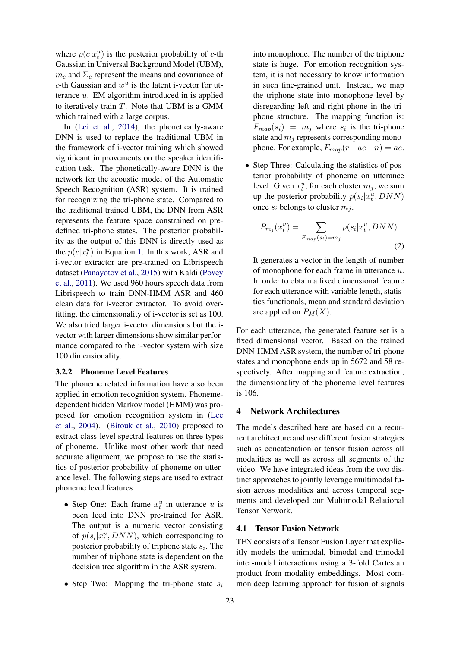where  $p(c|x_t^u)$  is the posterior probability of c-th Gaussian in Universal Background Model (UBM),  $m_c$  and  $\Sigma_c$  represent the means and covariance of  $c$ -th Gaussian and  $w^u$  is the latent i-vector for utterance u. EM algorithm introduced in is applied to iteratively train  $T$ . Note that UBM is a GMM which trained with a large corpus.

In [\(Lei et al.,](#page-6-9) [2014\)](#page-6-9), the phonetically-aware DNN is used to replace the traditional UBM in the framework of i-vector training which showed significant improvements on the speaker identification task. The phonetically-aware DNN is the network for the acoustic model of the Automatic Speech Recognition (ASR) system. It is trained for recognizing the tri-phone state. Compared to the traditional trained UBM, the DNN from ASR represents the feature space constrained on predefined tri-phone states. The posterior probability as the output of this DNN is directly used as the  $p(c|x_t^u)$  in Equation [1.](#page-2-1) In this work, ASR and i-vector extractor are pre-trained on Librispeech dataset [\(Panayotov et al.,](#page-7-21) [2015\)](#page-7-21) with Kaldi [\(Povey](#page-7-22) [et al.,](#page-7-22) [2011\)](#page-7-22). We used 960 hours speech data from Librispeech to train DNN-HMM ASR and 460 clean data for i-vector extractor. To avoid overfitting, the dimensionality of i-vector is set as 100. We also tried larger i-vector dimensions but the ivector with larger dimensions show similar performance compared to the i-vector system with size 100 dimensionality.

#### 3.2.2 Phoneme Level Features

The phoneme related information have also been applied in emotion recognition system. Phonemedependent hidden Markov model (HMM) was proposed for emotion recognition system in [\(Lee](#page-6-10) [et al.,](#page-6-10) [2004\)](#page-6-10). [\(Bitouk et al.,](#page-6-11) [2010\)](#page-6-11) proposed to extract class-level spectral features on three types of phoneme. Unlike most other work that need accurate alignment, we propose to use the statistics of posterior probability of phoneme on utterance level. The following steps are used to extract phoneme level features:

- Step One: Each frame  $x_t^u$  in utterance u is been feed into DNN pre-trained for ASR. The output is a numeric vector consisting of  $p(s_i|x_t^u, DNN)$ , which corresponding to posterior probability of triphone state  $s_i$ . The number of triphone state is dependent on the decision tree algorithm in the ASR system.
- Step Two: Mapping the tri-phone state  $s_i$

into monophone. The number of the triphone state is huge. For emotion recognition system, it is not necessary to know information in such fine-grained unit. Instead, we map the triphone state into monophone level by disregarding left and right phone in the triphone structure. The mapping function is:  $F_{map}(s_i) = m_j$  where  $s_i$  is the tri-phone state and  $m_i$  represents corresponding monophone. For example,  $F_{map}(r-ae-n) = ae$ .

• Step Three: Calculating the statistics of posterior probability of phoneme on utterance level. Given  $x_t^u$ , for each cluster  $m_j$ , we sum up the posterior probability  $p(s_i|x_t^u, DNN)$ once  $s_i$  belongs to cluster  $m_i$ .

$$
P_{m_j}(x_t^u) = \sum_{F_{map}(s_i) = m_j} p(s_i | x_t^u, DNN)
$$
\n(2)

It generates a vector in the length of number of monophone for each frame in utterance  $u$ . In order to obtain a fixed dimensional feature for each utterance with variable length, statistics functionals, mean and standard deviation are applied on  $P_M(X)$ .

For each utterance, the generated feature set is a fixed dimensional vector. Based on the trained DNN-HMM ASR system, the number of tri-phone states and monophone ends up in 5672 and 58 respectively. After mapping and feature extraction, the dimensionality of the phoneme level features is 106.

### 4 Network Architectures

The models described here are based on a recurrent architecture and use different fusion strategies such as concatenation or tensor fusion across all modalities as well as across all segments of the video. We have integrated ideas from the two distinct approaches to jointly leverage multimodal fusion across modalities and across temporal segments and developed our Multimodal Relational Tensor Network.

## 4.1 Tensor Fusion Network

TFN consists of a Tensor Fusion Layer that explicitly models the unimodal, bimodal and trimodal inter-modal interactions using a 3-fold Cartesian product from modality embeddings. Most common deep learning approach for fusion of signals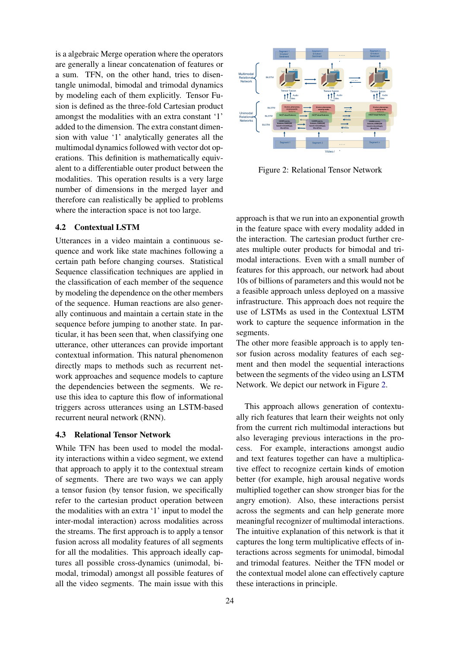is a algebraic Merge operation where the operators are generally a linear concatenation of features or a sum. TFN, on the other hand, tries to disentangle unimodal, bimodal and trimodal dynamics by modeling each of them explicitly. Tensor Fusion is defined as the three-fold Cartesian product amongst the modalities with an extra constant '1' added to the dimension. The extra constant dimension with value '1' analytically generates all the multimodal dynamics followed with vector dot operations. This definition is mathematically equivalent to a differentiable outer product between the modalities. This operation results is a very large number of dimensions in the merged layer and therefore can realistically be applied to problems where the interaction space is not too large.

## 4.2 Contextual LSTM

Utterances in a video maintain a continuous sequence and work like state machines following a certain path before changing courses. Statistical Sequence classification techniques are applied in the classification of each member of the sequence by modeling the dependence on the other members of the sequence. Human reactions are also generally continuous and maintain a certain state in the sequence before jumping to another state. In particular, it has been seen that, when classifying one utterance, other utterances can provide important contextual information. This natural phenomenon directly maps to methods such as recurrent network approaches and sequence models to capture the dependencies between the segments. We reuse this idea to capture this flow of informational triggers across utterances using an LSTM-based recurrent neural network (RNN).

### 4.3 Relational Tensor Network

While TFN has been used to model the modality interactions within a video segment, we extend that approach to apply it to the contextual stream of segments. There are two ways we can apply a tensor fusion (by tensor fusion, we specifically refer to the cartesian product operation between the modalities with an extra '1' input to model the inter-modal interaction) across modalities across the streams. The first approach is to apply a tensor fusion across all modality features of all segments for all the modalities. This approach ideally captures all possible cross-dynamics (unimodal, bimodal, trimodal) amongst all possible features of all the video segments. The main issue with this



<span id="page-4-0"></span>Figure 2: Relational Tensor Network

approach is that we run into an exponential growth in the feature space with every modality added in the interaction. The cartesian product further creates multiple outer products for bimodal and trimodal interactions. Even with a small number of features for this approach, our network had about 10s of billions of parameters and this would not be a feasible approach unless deployed on a massive infrastructure. This approach does not require the use of LSTMs as used in the Contextual LSTM work to capture the sequence information in the segments.

The other more feasible approach is to apply tensor fusion across modality features of each segment and then model the sequential interactions between the segments of the video using an LSTM Network. We depict our network in Figure [2.](#page-4-0)

This approach allows generation of contextually rich features that learn their weights not only from the current rich multimodal interactions but also leveraging previous interactions in the process. For example, interactions amongst audio and text features together can have a multiplicative effect to recognize certain kinds of emotion better (for example, high arousal negative words multiplied together can show stronger bias for the angry emotion). Also, these interactions persist across the segments and can help generate more meaningful recognizer of multimodal interactions. The intuitive explanation of this network is that it captures the long term multiplicative effects of interactions across segments for unimodal, bimodal and trimodal features. Neither the TFN model or the contextual model alone can effectively capture these interactions in principle.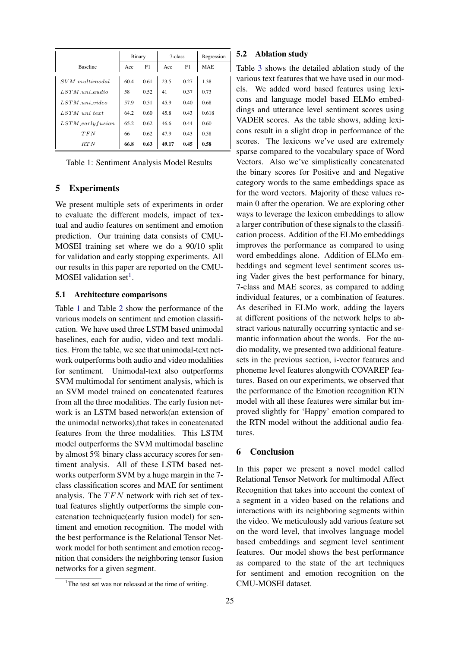|                      | Binary |      | 7-class |      | Regression |
|----------------------|--------|------|---------|------|------------|
| <b>Baseline</b>      | Acc    | F1   | Acc     | F1   | <b>MAE</b> |
| $SVM$ multimodal     | 60.4   | 0.61 | 23.5    | 0.27 | 1.38       |
| $LSTM$ uni audio     | 58     | 0.52 | 41      | 0.37 | 0.73       |
| $LSTM\_uni\_video$   | 57.9   | 0.51 | 45.9    | 0.40 | 0.68       |
| $LSTM\_unit.text$    | 64.2   | 0.60 | 45.8    | 0.43 | 0.618      |
| $LSTM\_early fusion$ | 65.2   | 0.62 | 46.6    | 0.44 | 0.60       |
| TFN                  | 66     | 0.62 | 47.9    | 0.43 | 0.58       |
| RT N                 | 66.8   | 0.63 | 49.17   | 0.45 | 0.58       |

<span id="page-5-1"></span>Table 1: Sentiment Analysis Model Results

## 5 Experiments

We present multiple sets of experiments in order to evaluate the different models, impact of textual and audio features on sentiment and emotion prediction. Our training data consists of CMU-MOSEI training set where we do a 90/10 split for validation and early stopping experiments. All our results in this paper are reported on the CMU-MOSEI validation set<sup>[1](#page-5-0)</sup>.

#### 5.1 Architecture comparisons

Table [1](#page-5-1) and Table [2](#page-6-12) show the performance of the various models on sentiment and emotion classification. We have used three LSTM based unimodal baselines, each for audio, video and text modalities. From the table, we see that unimodal-text network outperforms both audio and video modalities for sentiment. Unimodal-text also outperforms SVM multimodal for sentiment analysis, which is an SVM model trained on concatenated features from all the three modalities. The early fusion network is an LSTM based network(an extension of the unimodal networks),that takes in concatenated features from the three modalities. This LSTM model outperforms the SVM multimodal baseline by almost 5% binary class accuracy scores for sentiment analysis. All of these LSTM based networks outperform SVM by a huge margin in the 7 class classification scores and MAE for sentiment analysis. The  $TFN$  network with rich set of textual features slightly outperforms the simple concatenation technique(early fusion model) for sentiment and emotion recognition. The model with the best performance is the Relational Tensor Network model for both sentiment and emotion recognition that considers the neighboring tensor fusion networks for a given segment.

## 5.2 Ablation study

Table [3](#page-6-13) shows the detailed ablation study of the various text features that we have used in our models. We added word based features using lexicons and language model based ELMo embeddings and utterance level sentiment scores using VADER scores. As the table shows, adding lexicons result in a slight drop in performance of the scores. The lexicons we've used are extremely sparse compared to the vocabulary space of Word Vectors. Also we've simplistically concatenated the binary scores for Positive and and Negative category words to the same embeddings space as for the word vectors. Majority of these values remain 0 after the operation. We are exploring other ways to leverage the lexicon embeddings to allow a larger contribution of these signals to the classification process. Addition of the ELMo embeddings improves the performance as compared to using word embeddings alone. Addition of ELMo embeddings and segment level sentiment scores using Vader gives the best performance for binary, 7-class and MAE scores, as compared to adding individual features, or a combination of features. As described in ELMo work, adding the layers at different positions of the network helps to abstract various naturally occurring syntactic and semantic information about the words. For the audio modality, we presented two additional featuresets in the previous section, i-vector features and phoneme level features alongwith COVAREP features. Based on our experiments, we observed that the performance of the Emotion recognition RTN model with all these features were similar but improved slightly for 'Happy' emotion compared to the RTN model without the additional audio features.

## 6 Conclusion

In this paper we present a novel model called Relational Tensor Network for multimodal Affect Recognition that takes into account the context of a segment in a video based on the relations and interactions with its neighboring segments within the video. We meticulously add various feature set on the word level, that involves language model based embeddings and segment level sentiment features. Our model shows the best performance as compared to the state of the art techniques for sentiment and emotion recognition on the CMU-MOSEI dataset.

<span id="page-5-0"></span><sup>&</sup>lt;sup>1</sup>The test set was not released at the time of writing.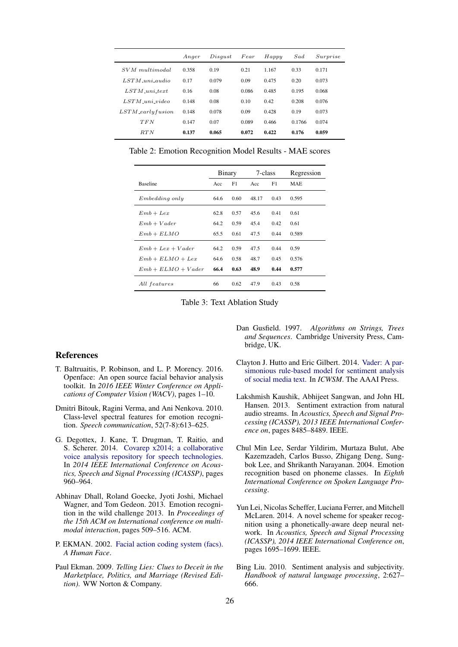|                      | Anger | Disqust | Fear  | Happy | Sad    | Surprise |
|----------------------|-------|---------|-------|-------|--------|----------|
| $SVM$ multimodal     | 0.358 | 0.19    | 0.21  | 1.167 | 0.33   | 0.171    |
| $LSTM$ uni audio     | 0.17  | 0.079   | 0.09  | 0.475 | 0.20   | 0.073    |
| $LSTM$ uni text      | 0.16  | 0.08    | 0.086 | 0.485 | 0.195  | 0.068    |
| $LSTM$ uni video     | 0.148 | 0.08    | 0.10  | 0.42  | 0.208  | 0.076    |
| $LSTM\_early fusion$ | 0.148 | 0.078   | 0.09  | 0.428 | 0.19   | 0.073    |
| TFN                  | 0.147 | 0.07    | 0.089 | 0.466 | 0.1766 | 0.074    |
| RTN                  | 0.137 | 0.065   | 0.072 | 0.422 | 0.176  | 0.059    |

<span id="page-6-12"></span>Table 2: Emotion Recognition Model Results - MAE scores

|                      | Binary |      | 7-class |      | Regression |
|----------------------|--------|------|---------|------|------------|
| <b>Baseline</b>      | Acc    | F1   | Acc     | F1   | <b>MAE</b> |
| Embedding only       | 64.6   | 0.60 | 48.17   | 0.43 | 0.595      |
| $Emb + Lex$          | 62.8   | 0.57 | 45.6    | 0.41 | 0.61       |
| $Emb+Vader$          | 64.2   | 0.59 | 45.4    | 0.42 | 0.61       |
| $Emb + ELMO$         | 65.5   | 0.61 | 47.5    | 0.44 | 0.589      |
| $Emb + Lex + Vader$  | 64.2   | 0.59 | 47.5    | 0.44 | 0.59       |
| $Emb + ELMO + Lex$   | 64.6   | 0.58 | 48.7    | 0.45 | 0.576      |
| $Emb + ELMO + Vader$ | 66.4   | 0.63 | 48.9    | 0.44 | 0.577      |
| All features         | 66     | 0.62 | 47.9    | 0.43 | 0.58       |

<span id="page-6-13"></span>Table 3: Text Ablation Study

#### References

- <span id="page-6-6"></span>T. Baltruaitis, P. Robinson, and L. P. Morency. 2016. Openface: An open source facial behavior analysis toolkit. In *2016 IEEE Winter Conference on Applications of Computer Vision (WACV)*, pages 1–10.
- <span id="page-6-11"></span>Dmitri Bitouk, Ragini Verma, and Ani Nenkova. 2010. Class-level spectral features for emotion recognition. *Speech communication*, 52(7-8):613–625.
- <span id="page-6-5"></span>G. Degottex, J. Kane, T. Drugman, T. Raitio, and S. Scherer. 2014. [Covarep x2014; a collaborative](https://doi.org/10.1109/ICASSP.2014.6853739) [voice analysis repository for speech technologies.](https://doi.org/10.1109/ICASSP.2014.6853739) In *2014 IEEE International Conference on Acoustics, Speech and Signal Processing (ICASSP)*, pages 960–964.
- <span id="page-6-4"></span>Abhinav Dhall, Roland Goecke, Jyoti Joshi, Michael Wagner, and Tom Gedeon. 2013. Emotion recognition in the wild challenge 2013. In *Proceedings of the 15th ACM on International conference on multimodal interaction*, pages 509–516. ACM.
- <span id="page-6-1"></span>P. EKMAN. 2002. [Facial action coding system \(facs\).](https://ci.nii.ac.jp/naid/10025007347/en/) *A Human Face*.
- <span id="page-6-0"></span>Paul Ekman. 2009. *Telling Lies: Clues to Deceit in the Marketplace, Politics, and Marriage (Revised Edition)*. WW Norton & Company.
- <span id="page-6-8"></span>Dan Gusfield. 1997. *Algorithms on Strings, Trees and Sequences*. Cambridge University Press, Cambridge, UK.
- <span id="page-6-7"></span>Clayton J. Hutto and Eric Gilbert. 2014. [Vader: A par](http://dblp.uni-trier.de/db/conf/icwsm/icwsm2014.html#HuttoG14)[simonious rule-based model for sentiment analysis](http://dblp.uni-trier.de/db/conf/icwsm/icwsm2014.html#HuttoG14) [of social media text.](http://dblp.uni-trier.de/db/conf/icwsm/icwsm2014.html#HuttoG14) In *ICWSM*. The AAAI Press.
- <span id="page-6-3"></span>Lakshmish Kaushik, Abhijeet Sangwan, and John HL Hansen. 2013. Sentiment extraction from natural audio streams. In *Acoustics, Speech and Signal Processing (ICASSP), 2013 IEEE International Conference on*, pages 8485–8489. IEEE.
- <span id="page-6-10"></span>Chul Min Lee, Serdar Yildirim, Murtaza Bulut, Abe Kazemzadeh, Carlos Busso, Zhigang Deng, Sungbok Lee, and Shrikanth Narayanan. 2004. Emotion recognition based on phoneme classes. In *Eighth International Conference on Spoken Language Processing*.
- <span id="page-6-9"></span>Yun Lei, Nicolas Scheffer, Luciana Ferrer, and Mitchell McLaren. 2014. A novel scheme for speaker recognition using a phonetically-aware deep neural network. In *Acoustics, Speech and Signal Processing (ICASSP), 2014 IEEE International Conference on*, pages 1695–1699. IEEE.
- <span id="page-6-2"></span>Bing Liu. 2010. Sentiment analysis and subjectivity. *Handbook of natural language processing*, 2:627– 666.